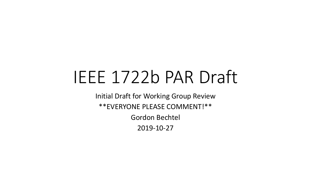# IEEE 1722b PAR Draft

Initial Draft for Working Group Review \*\*EVERYONE PLEASE COMMENT!\*\* Gordon Bechtel 2019-10-27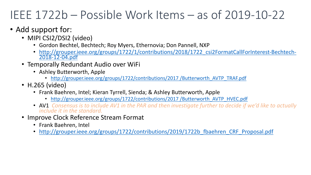### IEEE 1722b – [Possible Work Items –](http://grouper.ieee.org/groups/1722/contributions/2017%20/Butterworth_AVTP_HVEC.pdf) a

#### • Add support for:

- MIPI CSI2/DSI2 (video)
	- Gordon Bechtel, Bechtech; Roy Myers, Ethernovia; Don Pannell,
	- http://grouper.ieee.org/groups/1722/1/contributions/2018/172<br>2018-12-04.pdf
- Temporally Redundant Audio over WiFi
	- Ashley Butterworth, Apple
		- http://grouper.ieee.org/groups/1722/contributions/2017 /Butterv
- H.265 (video)
	- Frank Baehren, Intel; Kieran Tyrrell, Sienda; & Ashley Butterwort
		- http://grouper.ieee.org/groups/1722/contributions/2017 /Butterv
	- AV1 *Consensus is to include AV1 in the PAR and then investigate include it in the standard.*
- Improve Clock Reference Stream Format
	- Frank Baehren, Intel
	- http://grouper.ieee.org/groups/1722/contributions/2019/1722l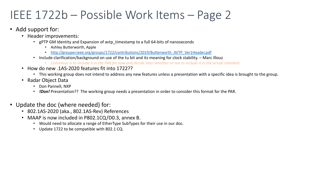### IEEE 1722b – Possible Work Items –

- Add support for:
	- Header improvements:
		- gPTP GM Identity and Expansion of avtp\_timestamp to a full 64-bits of nanoseconds
			- Ashley Butterworth, Apple
			- http://grouper.ieee.org/groups/1722/contributions/2019/Butterworth\_AVTP\_Ver1Head
		- Include clarification/background on use of the tu bit and its meaning for clock stability.
			- Consensus is to include it in the PAR for now and decide later whether or not to include
	- How do new .1AS-2020 features fit into 1722??
		- This working group does not intend to address any new features unless a presentation
	- Radar Object Data
		- Don Pannell, NXP
		- *IDon!* Presentation?? The working group needs a presentation in order to consider thi
- Update the doc (where needed) for:
	- 802.1AS-2020 (aka., 802.1AS-Rev) References
	- MAAP is now included in P802.1CQ/D0.3, annex B.
		- Would need to allocate a range of EtherType SubTypes for their use in our doc.
		- Update 1722 to be compatible with 802.1 CQ.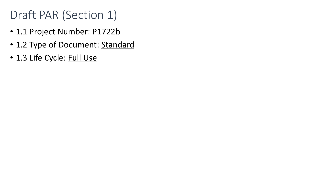### Draft PAR (Section 1)

- 1.1 Project Number: P1722b
- 1.2 Type of Document: Standard
- 1.3 Life Cycle: Full Use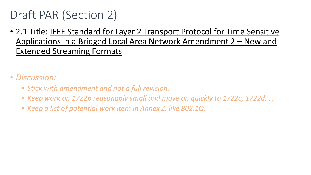### Draft PAR (Section 2)

- 2.1 Title: IEEE Standard for Layer 2 Transport Protocol for Time Sensitive Applications in a Bridged Local Area Network Amendment 2 – New and Extended Streaming Formats
- *Discussion:*
	- *Stick with amendment and not a full revision.*
	- *Keep work on 1722b reasonably small and move on quickly to 1722c, 1722d, …*
	- *Keep a list of potential work item in Annex Z, like 802.1Q.*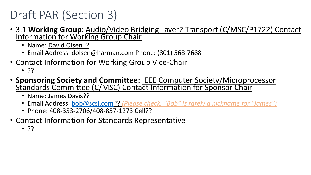### Draft PAR (S[ection](mailto:bob@scsi.com) 3)

- 3.1 **Working Group**: Audio/Video Bridging Layer2 Transport (Crimation for Working Group Chair
	- Name: David Olsen??
	- Email Address: dolsen@harman.com Phone: (801) 568-768
- Contact Information for Working Group Vice-Chair
	- ??

## • **Sponsoring Society and Committee**: IEEE Computer S<br>Standards Committee (C/MSC) Contact Information for

- Name: James Davis??
- Email Address: bob@scsi.com?? *(Please check. "Bob" is rarely a nickname for "James")*
- Phone: 408-353-2706/408-857-1273 Cell??
- Contact Information for Standards Representative
	- ??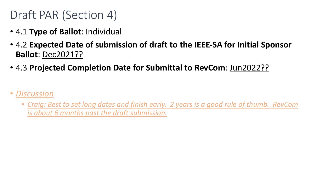### Draft PAR (Section 4)

- 4.1 **Type of Ballot**: Individual
- 4.2 **Expected Date of submission of draft to the IEEE-SA for Initial Sponsor Ballot**: Dec2021??
- 4.3 **Projected Completion Date for Submittal to RevCom**: Jun2022??
- *Discussion*
	- *Craig: Best to set long dates and finish early. 2 years is a good rule of thumb. RevCom is about 6 months past the draft submission.*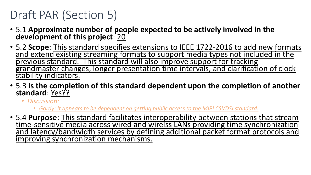### Draft PAR (Section 5)

- 5.1 **Approximate number of people expected to be actively involved in the development of this project**: 20
- 5.2 **Scope**: This standard specifies extensions to IEEE 1722-2016 to add new formats and extend existing streaming formats to support media types not included in the<br>previous standard. This standard will also improve support for tracking grandmaster changes, longer presentation time intervals, and clarification of clock stability indicators.
- 5.3 **Is the completion of this standard dependent upon the completion of another standard**: Yes??
	- *Discussion:*
		- *Gordy: It appears to be dependent on getting public access to the MIPI CSI/DSI standard.*
- 5.4 **Purpose**: This standard facilitates interoperability between stations that stream and latency/bandwidth services by defining additional packet format protocols and improving synchronization mechanisms.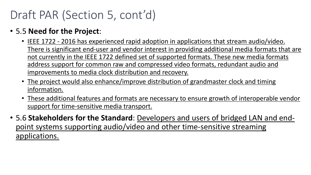### Draft PAR (Section 5, cont'd)

- 5.5 **Need for the Project**:
	- IEEE 1722 2016 has experienced rapid adoption in applications that stream audio/video. There is significant end-user and vendor interest in providing additional media formats that are not currently in the IEEE 1722 defined set of supported formats. These new media formats address support for common raw and compressed video formats, redundant audio and improvements to media clock distribution and recovery.
	- The project would also enhance/improve distribution of grandmaster clock and timing information.
	- These additional features and formats are necessary to ensure growth of interoperable vendor support for time-sensitive media transport.
- 5.6 **Stakeholders for the Standard**: Developers and users of bridged LAN and endpoint systems supporting audio/video and other time-sensitive streaming applications.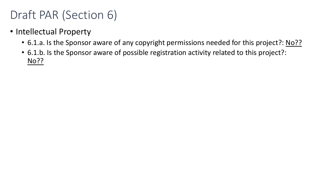### Draft PAR (Section 6)

- Intellectual Property
	- 6.1.a. Is the Sponsor aware of any copyright permissions needed for this project?: No??
	- 6.1.b. Is the Sponsor aware of possible registration activity related to this project?: No??